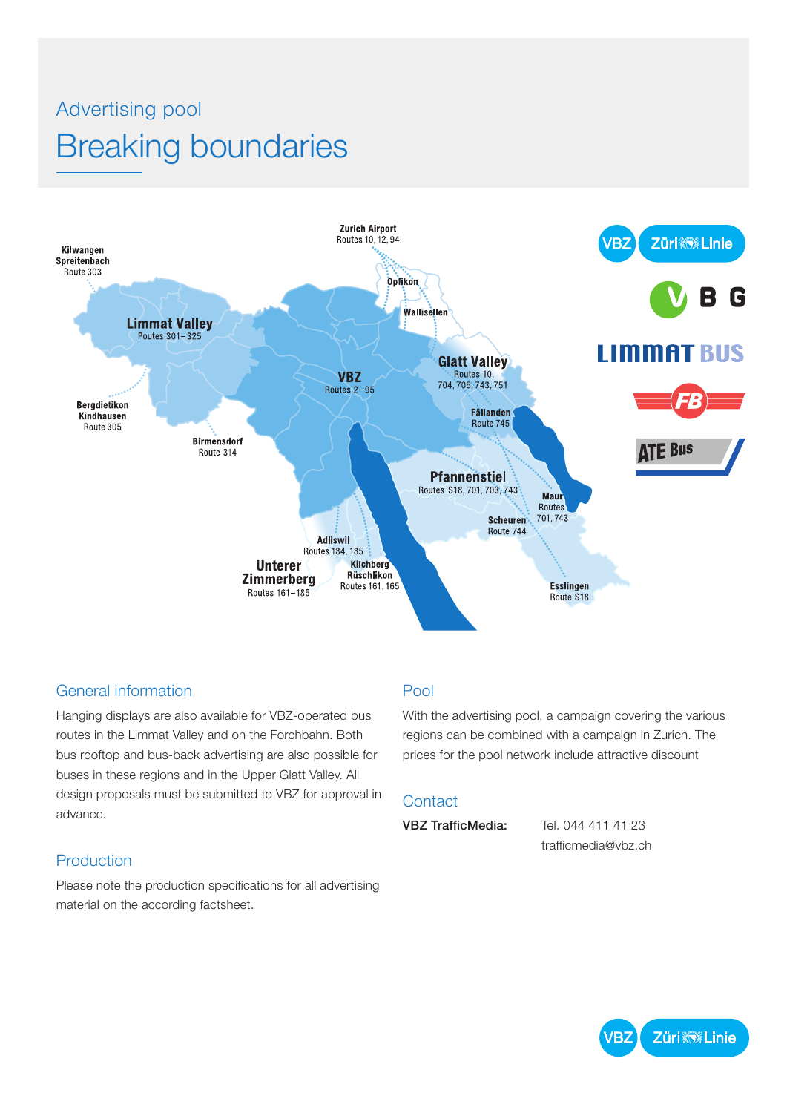# Advertising pool Breaking boundaries



#### General information

Hanging displays are also available for VBZ-operated bus routes in the Limmat Valley and on the Forchbahn. Both bus rooftop and bus-back advertising are also possible for buses in these regions and in the Upper Glatt Valley. All design proposals must be submitted to VBZ for approval in advance.

#### Production

Please note the production specifications for all advertising material on the according factsheet.

### Pool

With the advertising pool, a campaign covering the various regions can be combined with a campaign in Zurich. The prices for the pool network include attractive discount

### **Contact**

VBZ TrafficMedia: Tel. 044 411 41 23

trafficmedia@vbz.ch

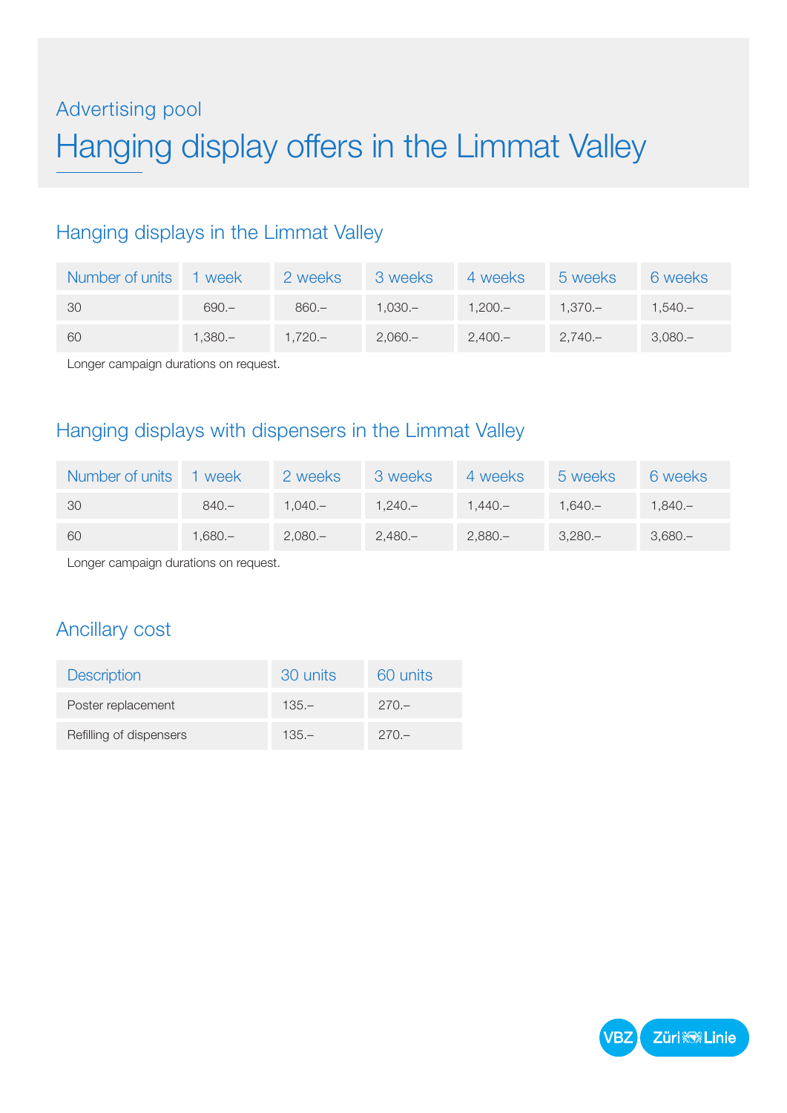# Advertising pool Hanging display offers in the Limmat Valley

## Hanging displays in the Limmat Valley

| Number of units | 1 week    | 2 weeks   | 3 weeks   | 4 weeks   | 5 weeks   | 6 weeks   |
|-----------------|-----------|-----------|-----------|-----------|-----------|-----------|
| - 30            | $690 -$   | $860 -$   | $1.030 -$ | $1.200 -$ | $1.370 -$ | $1.540 -$ |
| -60             | $1.380 -$ | $1.720 -$ | $2.060 -$ | $2.400 -$ | $2.740 -$ | $3.080 -$ |

Longer campaign durations on request.

## Hanging displays with dispensers in the Limmat Valley

| Number of units | 1 week    | 2 weeks   | 3 weeks   | 4 weeks   | 5 weeks   | 6 weeks   |
|-----------------|-----------|-----------|-----------|-----------|-----------|-----------|
| - 30            | $840 -$   | $1.040 -$ | $1.240 -$ | $1.440 -$ | $1.640 -$ | 1.840.—   |
| -60             | $1.680 -$ | $2.080 -$ | $2.480 -$ | $2,880-$  | $3.280 -$ | $3.680 -$ |

Longer campaign durations on request.

### Ancillary cost

| <b>Description</b>      | 30 units | 60 units |
|-------------------------|----------|----------|
| Poster replacement      | $135 -$  | $270 -$  |
| Refilling of dispensers | $135 -$  | $270 -$  |

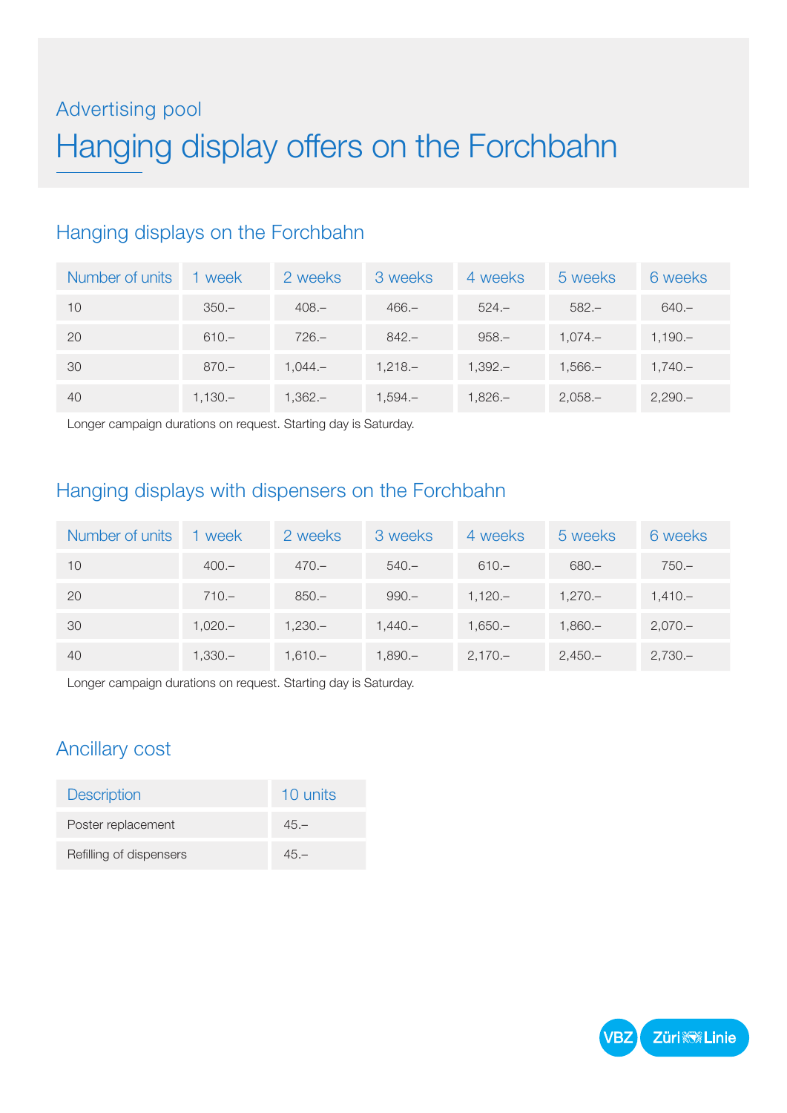# Advertising pool Hanging display offers on the Forchbahn

# Hanging displays on the Forchbahn

| Number of units | 1 week   | 2 weeks   | 3 weeks  | 4 weeks  | 5 weeks   | 6 weeks  |
|-----------------|----------|-----------|----------|----------|-----------|----------|
| 10              | $350 -$  | $408 -$   | $466 -$  | $524 -$  | $582 -$   | $640 -$  |
| 20              | $610 -$  | $726 -$   | $842 -$  | $958 -$  | $1.074 -$ | $1,190-$ |
| 30              | $870 -$  | $1.044 -$ | $1,218-$ | $1,392-$ | $1,566-$  | $1,740-$ |
| 40              | $1,130-$ | $1,362-$  | $1,594-$ | $1,826-$ | $2,058-$  | $2,290-$ |

Longer campaign durations on request. Starting day is Saturday.

# Hanging displays with dispensers on the Forchbahn

| Number of units | 1 week    | 2 weeks   | 3 weeks   | 4 weeks   | 5 weeks   | 6 weeks   |
|-----------------|-----------|-----------|-----------|-----------|-----------|-----------|
| 10              | $400 -$   | $470 -$   | $540 -$   | $610 -$   | $680 -$   | $750 -$   |
| 20              | $710 -$   | $850 -$   | $990 -$   | $1.120 -$ | $1.270 -$ | $1.410 -$ |
| 30              | $1.020 -$ | $1.230 -$ | $1.440 -$ | $1.650 -$ | $1,860-$  | $2,070-$  |
| 40              | $1.330 -$ | $1.610 -$ | $1,890-$  | $2,170-$  | $2,450-$  | $2,730-$  |

Longer campaign durations on request. Starting day is Saturday.

# Ancillary cost

| <b>Description</b>      | 10 units |
|-------------------------|----------|
| Poster replacement      | $45 -$   |
| Refilling of dispensers | $45 -$   |